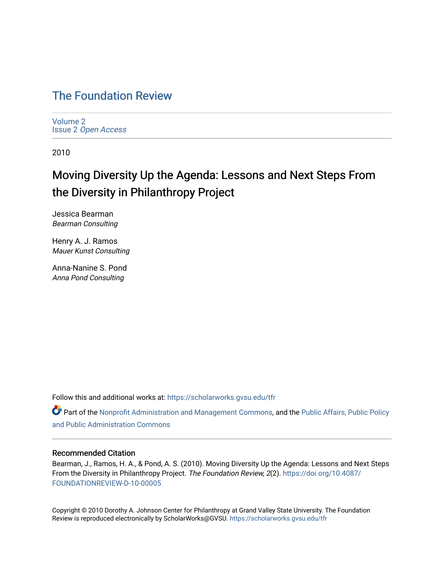## [The Foundation Review](https://scholarworks.gvsu.edu/tfr)

[Volume 2](https://scholarworks.gvsu.edu/tfr/vol2) Issue 2 [Open Access](https://scholarworks.gvsu.edu/tfr/vol2/iss2)

2010

## Moving Diversity Up the Agenda: Lessons and Next Steps From the Diversity in Philanthropy Project

Jessica Bearman Bearman Consulting

Henry A. J. Ramos Mauer Kunst Consulting

Anna-Nanine S. Pond Anna Pond Consulting

Follow this and additional works at: [https://scholarworks.gvsu.edu/tfr](https://scholarworks.gvsu.edu/tfr?utm_source=scholarworks.gvsu.edu%2Ftfr%2Fvol2%2Fiss2%2F8&utm_medium=PDF&utm_campaign=PDFCoverPages)

**C** Part of the [Nonprofit Administration and Management Commons,](http://network.bepress.com/hgg/discipline/1228?utm_source=scholarworks.gvsu.edu%2Ftfr%2Fvol2%2Fiss2%2F8&utm_medium=PDF&utm_campaign=PDFCoverPages) and the Public Affairs, Public Policy [and Public Administration Commons](http://network.bepress.com/hgg/discipline/393?utm_source=scholarworks.gvsu.edu%2Ftfr%2Fvol2%2Fiss2%2F8&utm_medium=PDF&utm_campaign=PDFCoverPages) 

## Recommended Citation

Bearman, J., Ramos, H. A., & Pond, A. S. (2010). Moving Diversity Up the Agenda: Lessons and Next Steps From the Diversity in Philanthropy Project. The Foundation Review, 2(2). [https://doi.org/10.4087/](https://doi.org/10.4087/FOUNDATIONREVIEW-D-10-00005) [FOUNDATIONREVIEW-D-10-00005](https://doi.org/10.4087/FOUNDATIONREVIEW-D-10-00005)

Copyright © 2010 Dorothy A. Johnson Center for Philanthropy at Grand Valley State University. The Foundation Review is reproduced electronically by ScholarWorks@GVSU.<https://scholarworks.gvsu.edu/tfr>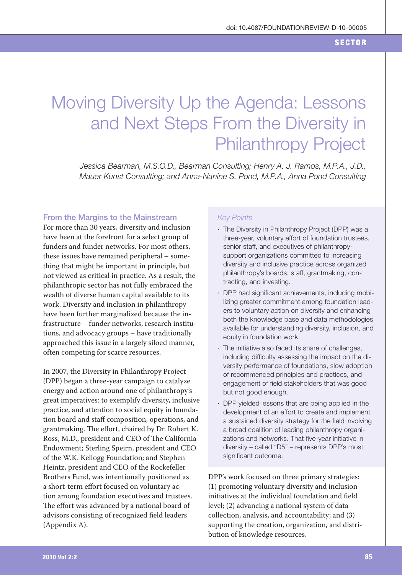# Moving Diversity Up the Agenda: Lessons and Next Steps From the Diversity in **Philanthropy Project**

Jessica Bearman, M.S.O.D., Bearman Consulting; Henry A. J. Ramos, M.P.A., J.D., Mauer Kunst Consulting; and Anna-Nanine S. Pond, M.P.A., Anna Pond Consulting

### From the Margins to the Mainstream

For more than 30 years, diversity and inclusion have been at the forefront for a select group of funders and funder networks. For most others, these issues have remained peripheral – something that might be important in principle, but not viewed as critical in practice. As a result, the philanthropic sector has not fully embraced the wealth of diverse human capital available to its work. Diversity and inclusion in philanthropy have been further marginalized because the infrastructure - funder networks, research institutions, and advocacy groups – have traditionally approached this issue in a largely siloed manner, often competing for scarce resources.

In 2007, the Diversity in Philanthropy Project (DPP) began a three-year campaign to catalyze energy and action around one of philanthropy's great imperatives: to exemplify diversity, inclusive practice, and attention to social equity in foundation board and staff composition, operations, and grantmaking. The effort, chaired by Dr. Robert K. Ross, M.D., president and CEO of The California Endowment; Sterling Speirn, president and CEO of the W.K. Kellogg Foundation; and Stephen Heintz, president and CEO of the Rockefeller Brothers Fund, was intentionally positioned as a short-term effort focused on voluntary action among foundation executives and trustees. The effort was advanced by a national board of advisors consisting of recognized field leaders (Appendix A).

#### **Kev Points**

- · The Diversity in Philanthropy Project (DPP) was a three-year, voluntary effort of foundation trustees, senior staff, and executives of philanthropysupport organizations committed to increasing diversity and inclusive practice across organized philanthropy's boards, staff, grantmaking, contracting, and investing.
- · DPP had significant achievements, including mobilizing greater commitment among foundation leaders to voluntary action on diversity and enhancing both the knowledge base and data methodologies available for understanding diversity, inclusion, and equity in foundation work.
- · The initiative also faced its share of challenges, including difficulty assessing the impact on the diversity performance of foundations, slow adoption of recommended principles and practices, and engagement of field stakeholders that was good but not good enough.
- · DPP yielded lessons that are being applied in the development of an effort to create and implement a sustained diversity strategy for the field involving a broad coalition of leading philanthropy organizations and networks. That five-year initiative in diversity - called "D5" - represents DPP's most significant outcome.

DPP's work focused on three primary strategies: (1) promoting voluntary diversity and inclusion initiatives at the individual foundation and field level; (2) advancing a national system of data collection, analysis, and accountability; and (3) supporting the creation, organization, and distribution of knowledge resources.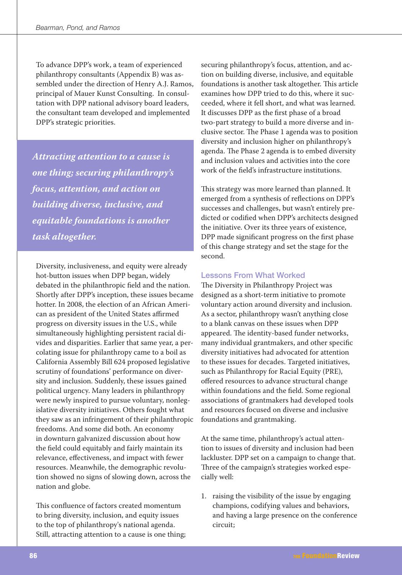To advance DPP's work, a team of experienced philanthropy consultants (Appendix B) was assembled under the direction of Henry A.J. Ramos, principal of Mauer Kunst Consulting. In consultation with DPP national advisory board leaders, the consultant team developed and implemented DPP's strategic priorities.

Attracting attention to a cause is one thing; securing philanthropy's focus, attention, and action on building diverse, inclusive, and equitable foundations is another task altogether.

Diversity, inclusiveness, and equity were already hot-button issues when DPP began, widely debated in the philanthropic field and the nation. Shortly after DPP's inception, these issues became hotter. In 2008, the election of an African American as president of the United States affirmed progress on diversity issues in the U.S., while simultaneously highlighting persistent racial divides and disparities. Earlier that same year, a percolating issue for philanthropy came to a boil as California Assembly Bill 624 proposed legislative scrutiny of foundations' performance on diversity and inclusion. Suddenly, these issues gained political urgency. Many leaders in philanthropy were newly inspired to pursue voluntary, nonlegislative diversity initiatives. Others fought what they saw as an infringement of their philanthropic freedoms. And some did both. An economy in downturn galvanized discussion about how the field could equitably and fairly maintain its relevance, effectiveness, and impact with fewer resources. Meanwhile, the demographic revolution showed no signs of slowing down, across the nation and globe.

This confluence of factors created momentum to bring diversity, inclusion, and equity issues to the top of philanthropy's national agenda. Still, attracting attention to a cause is one thing; securing philanthropy's focus, attention, and action on building diverse, inclusive, and equitable foundations is another task altogether. This article examines how DPP tried to do this, where it succeeded, where it fell short, and what was learned. It discusses DPP as the first phase of a broad two-part strategy to build a more diverse and inclusive sector. The Phase 1 agenda was to position diversity and inclusion higher on philanthropy's agenda. The Phase 2 agenda is to embed diversity and inclusion values and activities into the core work of the field's infrastructure institutions.

This strategy was more learned than planned. It emerged from a synthesis of reflections on DPP's successes and challenges, but wasn't entirely predicted or codified when DPP's architects designed the initiative. Over its three years of existence, DPP made significant progress on the first phase of this change strategy and set the stage for the second.

## **Lessons From What Worked**

The Diversity in Philanthropy Project was designed as a short-term initiative to promote voluntary action around diversity and inclusion. As a sector, philanthropy wasn't anything close to a blank canvas on these issues when DPP appeared. The identity-based funder networks, many individual grantmakers, and other specific diversity initiatives had advocated for attention to these issues for decades. Targeted initiatives, such as Philanthropy for Racial Equity (PRE), offered resources to advance structural change within foundations and the field. Some regional associations of grantmakers had developed tools and resources focused on diverse and inclusive foundations and grantmaking.

At the same time, philanthropy's actual attention to issues of diversity and inclusion had been lackluster. DPP set on a campaign to change that. Three of the campaign's strategies worked especially well:

1. raising the visibility of the issue by engaging champions, codifying values and behaviors, and having a large presence on the conference circuit: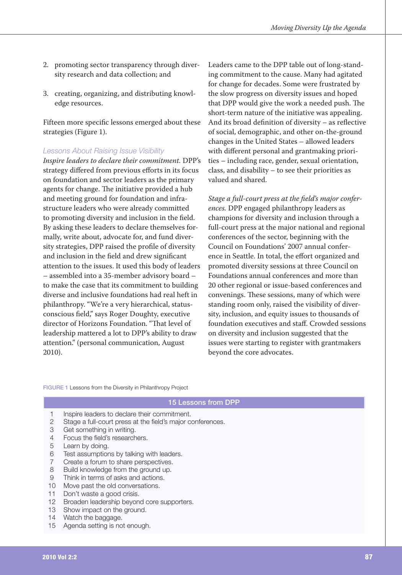- 2. promoting sector transparency through diversity research and data collection; and
- 3. creating, organizing, and distributing knowledge resources.

Fifteen more specific lessons emerged about these strategies (Figure 1).

### **Lessons About Raising Issue Visibility**

Inspire leaders to declare their commitment. DPP's strategy differed from previous efforts in its focus on foundation and sector leaders as the primary agents for change. The initiative provided a hub and meeting ground for foundation and infrastructure leaders who were already committed to promoting diversity and inclusion in the field. By asking these leaders to declare themselves formally, write about, advocate for, and fund diversity strategies, DPP raised the profile of diversity and inclusion in the field and drew significant attention to the issues. It used this body of leaders - assembled into a 35-member advisory board to make the case that its commitment to building diverse and inclusive foundations had real heft in philanthropy. "We're a very hierarchical, statusconscious field," says Roger Doughty, executive director of Horizons Foundation. "That level of leadership mattered a lot to DPP's ability to draw attention." (personal communication, August 2010).

Leaders came to the DPP table out of long-standing commitment to the cause. Many had agitated for change for decades. Some were frustrated by the slow progress on diversity issues and hoped that DPP would give the work a needed push. The short-term nature of the initiative was appealing. And its broad definition of diversity – as reflective of social, demographic, and other on-the-ground changes in the United States - allowed leaders with different personal and grantmaking priorities - including race, gender, sexual orientation, class, and disability - to see their priorities as valued and shared.

Stage a full-court press at the field's major conferences. DPP engaged philanthropy leaders as champions for diversity and inclusion through a full-court press at the major national and regional conferences of the sector, beginning with the Council on Foundations' 2007 annual conference in Seattle. In total, the effort organized and promoted diversity sessions at three Council on Foundations annual conferences and more than 20 other regional or issue-based conferences and convenings. These sessions, many of which were standing room only, raised the visibility of diversity, inclusion, and equity issues to thousands of foundation executives and staff. Crowded sessions on diversity and inclusion suggested that the issues were starting to register with grantmakers beyond the core advocates.

FIGURE 1 Lessons from the Diversity in Philanthropy Project

#### 15 Lessons from DPP

- $\mathbf{1}$ Inspire leaders to declare their commitment.
- $\mathfrak{D}$ Stage a full-court press at the field's major conferences.
- $\mathcal{S}$ Get something in writing.
- Focus the field's researchers.  $\overline{4}$
- 5 Learn by doing.
- 6 Test assumptions by talking with leaders.
- $\overline{7}$ Create a forum to share perspectives.
- $\mathsf{R}$ Build knowledge from the ground up.
- 9 Think in terms of asks and actions.
- $10<sup>1</sup>$ Move past the old conversations.
- $11$ Don't waste a good crisis.
- $12<sup>7</sup>$ Broaden leadership beyond core supporters.
- $13<sup>7</sup>$ Show impact on the ground.
- $14$ Watch the baggage.
- $15<sup>15</sup>$ Agenda setting is not enough.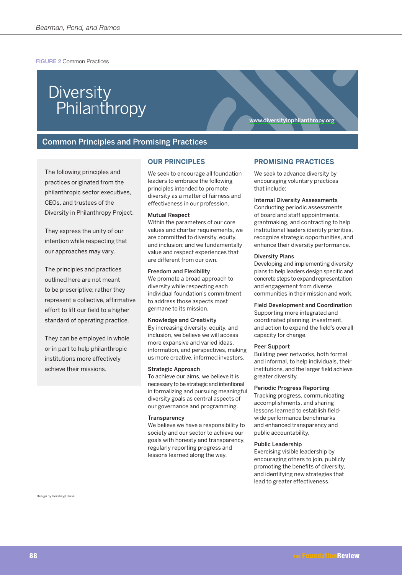FIGURE 2 Common Practices

## Diversity Philanthropy

**Common Principles and Promising Practices** 

The following principles and practices originated from the philanthropic sector executives, CEOs, and trustees of the Diversity in Philanthropy Project.

They express the unity of our intention while respecting that our approaches may vary.

The principles and practices outlined here are not meant to be prescriptive; rather they represent a collective, affirmative effort to lift our field to a higher standard of operating practice.

They can be employed in whole or in part to help philanthropic institutions more effectively achieve their missions

#### **OUR PRINCIPLES**

We seek to encourage all foundation leaders to embrace the following principles intended to promote diversity as a matter of fairness and effectiveness in our profession.

#### **Mutual Respect**

Within the parameters of our core values and charter requirements, we are committed to diversity, equity, and inclusion: and we fundamentally value and respect experiences that are different from our own.

#### **Freedom and Flexibility**

We promote a broad approach to diversity while respecting each individual foundation's commitment to address those aspects most germane to its mission.

#### **Knowledge and Creativity**

By increasing diversity, equity, and inclusion, we believe we will access more expansive and varied ideas, information, and perspectives, making us more creative, informed investors.

#### **Strategic Approach**

To achieve our aims, we believe it is necessary to be strategic and intentional in formalizing and pursuing meaningful diversity goals as central aspects of our governance and programming.

#### Transparency

We believe we have a responsibility to society and our sector to achieve our goals with honesty and transparency. regularly reporting progress and lessons learned along the way.

# www.diversityinphilanthropy.org

#### **PROMISING PRACTICES**

We seek to advance diversity by encouraging voluntary practices that include:

#### **Internal Diversity Assessments**

Conducting periodic assessments of board and staff appointments, grantmaking, and contracting to help institutional leaders identify priorities, recognize strategic opportunities, and enhance their diversity performance.

#### **Diversity Plans**

Developing and implementing diversity plans to help leaders design specific and concrete steps to expand representation and engagement from diverse communities in their mission and work.

#### **Field Development and Coordination**

Supporting more integrated and coordinated planning, investment, and action to expand the field's overall capacity for change.

#### Peer Support

Building peer networks, both formal and informal, to help individuals, their institutions, and the larger field achieve greater diversity.

#### **Periodic Progress Reporting**

Tracking progress, communicating accomplishments, and sharing lessons learned to establish fieldwide performance benchmarks and enhanced transparency and public accountability.

#### **Public Leadership**

Exercising visible leadership by encouraging others to join, publicly promoting the benefits of diversity, and identifying new strategies that lead to greater effectiveness.

Design by Hershey Cause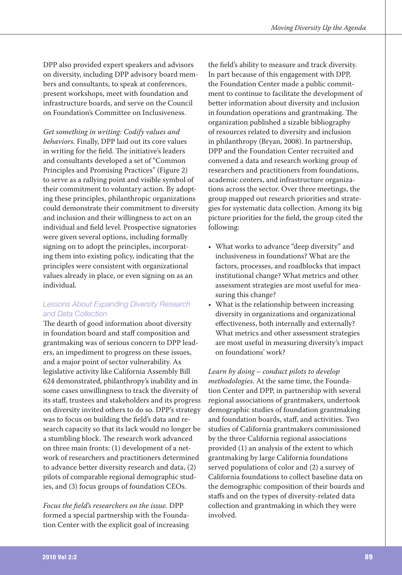DPP also provided expert speakers and advisors on diversity, including DPP advisory board members and consultants, to speak at conferences, present workshops, meet with foundation and infrastructure boards, and serve on the Council on Foundation's Committee on Inclusiveness.

Get something in writing: Codify values and behaviors. Finally, DPP laid out its core values in writing for the field. The initiative's leaders and consultants developed a set of "Common Principles and Promising Practices" (Figure 2) to serve as a rallying point and visible symbol of their commitment to voluntary action. By adopting these principles, philanthropic organizations could demonstrate their commitment to diversity and inclusion and their willingness to act on an individual and field level. Prospective signatories were given several options, including formally signing on to adopt the principles, incorporating them into existing policy, indicating that the principles were consistent with organizational values already in place, or even signing on as an *individual* 

## **Lessons About Expanding Diversity Research** and Data Collection

The dearth of good information about diversity in foundation board and staff composition and grantmaking was of serious concern to DPP leaders, an impediment to progress on these issues, and a major point of sector vulnerability. As legislative activity like California Assembly Bill 624 demonstrated, philanthropy's inability and in some cases unwillingness to track the diversity of its staff, trustees and stakeholders and its progress on diversity invited others to do so. DPP's strategy was to focus on building the field's data and research capacity so that its lack would no longer be a stumbling block. The research work advanced on three main fronts: (1) development of a network of researchers and practitioners determined to advance better diversity research and data, (2) pilots of comparable regional demographic studies, and (3) focus groups of foundation CEOs.

Focus the field's researchers on the issue. DPP formed a special partnership with the Foundation Center with the explicit goal of increasing

the field's ability to measure and track diversity. In part because of this engagement with DPP, the Foundation Center made a public commitment to continue to facilitate the development of better information about diversity and inclusion in foundation operations and grantmaking. The organization published a sizable bibliography of resources related to diversity and inclusion in philanthropy (Bryan, 2008). In partnership, DPP and the Foundation Center recruited and convened a data and research working group of researchers and practitioners from foundations, academic centers, and infrastructure organizations across the sector. Over three meetings, the group mapped out research priorities and strategies for systematic data collection. Among its big picture priorities for the field, the group cited the following:

- What works to advance "deep diversity" and inclusiveness in foundations? What are the factors, processes, and roadblocks that impact institutional change? What metrics and other assessment strategies are most useful for measuring this change?
- What is the relationship between increasing diversity in organizations and organizational effectiveness, both internally and externally? What metrics and other assessment strategies are most useful in measuring diversity's impact on foundations' work?

Learn by doing – conduct pilots to develop methodologies. At the same time, the Foundation Center and DPP, in partnership with several regional associations of grantmakers, undertook demographic studies of foundation grantmaking and foundation boards, staff, and activities. Two studies of California grantmakers commissioned by the three California regional associations provided (1) an analysis of the extent to which grantmaking by large California foundations served populations of color and (2) a survey of California foundations to collect baseline data on the demographic composition of their boards and staffs and on the types of diversity-related data collection and grantmaking in which they were *involved*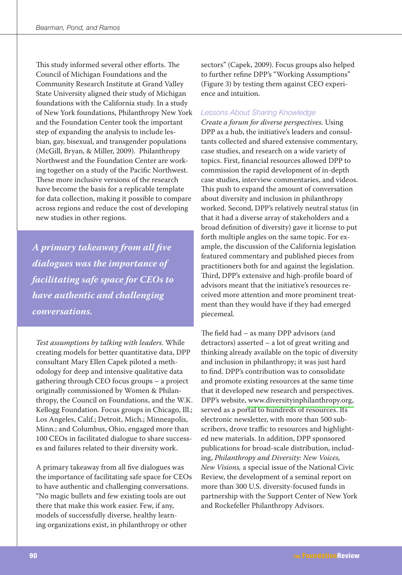This study informed several other efforts. The Council of Michigan Foundations and the Community Research Institute at Grand Valley State University aligned their study of Michigan foundations with the California study. In a study of New York foundations, Philanthropy New York and the Foundation Center took the important step of expanding the analysis to include lesbian, gay, bisexual, and transgender populations (McGill, Bryan, & Miller, 2009). Philanthropy Northwest and the Foundation Center are working together on a study of the Pacific Northwest. These more inclusive versions of the research have become the basis for a replicable template for data collection, making it possible to compare across regions and reduce the cost of developing new studies in other regions.

A primary takeaway from all five dialogues was the importance of facilitating safe space for CEOs to have authentic and challenging conversations.

Test assumptions by talking with leaders. While creating models for better quantitative data, DPP consultant Mary Ellen Capek piloted a methodology for deep and intensive qualitative data gathering through CEO focus groups – a project originally commissioned by Women & Philanthropy, the Council on Foundations, and the W.K. Kellogg Foundation. Focus groups in Chicago, Ill.; Los Angeles, Calif.; Detroit, Mich.; Minneapolis, Minn.; and Columbus, Ohio, engaged more than 100 CEOs in facilitated dialogue to share successes and failures related to their diversity work.

A primary takeaway from all five dialogues was the importance of facilitating safe space for CEOs to have authentic and challenging conversations. "No magic bullets and few existing tools are out there that make this work easier. Few, if any, models of successfully diverse, healthy learning organizations exist, in philanthropy or other

sectors" (Capek, 2009). Focus groups also helped to further refine DPP's "Working Assumptions" (Figure 3) by testing them against CEO experience and intuition.

## Lessons About Sharing Knowledge

Create a forum for diverse perspectives. Using DPP as a hub, the initiative's leaders and consultants collected and shared extensive commentary, case studies, and research on a wide variety of topics. First, financial resources allowed DPP to commission the rapid development of in-depth case studies, interview commentaries, and videos. This push to expand the amount of conversation about diversity and inclusion in philanthropy worked. Second, DPP's relatively neutral status (in that it had a diverse array of stakeholders and a broad definition of diversity) gave it license to put forth multiple angles on the same topic. For example, the discussion of the California legislation featured commentary and published pieces from practitioners both for and against the legislation. Third, DPP's extensive and high-profile board of advisors meant that the initiative's resources received more attention and more prominent treatment than they would have if they had emerged piecemeal.

The field had – as many DPP advisors (and detractors) asserted - a lot of great writing and thinking already available on the topic of diversity and inclusion in philanthropy; it was just hard to find. DPP's contribution was to consolidate and promote existing resources at the same time that it developed new research and perspectives. DPP's website, www.diversityinphilanthropy.org, served as a portal to hundreds of resources. Its electronic newsletter, with more than 500 subscribers, drove traffic to resources and highlighted new materials. In addition, DPP sponsored publications for broad-scale distribution, including, Philanthropy and Diversity: New Voices, New Visions, a special issue of the National Civic Review, the development of a seminal report on more than 300 U.S. diversity-focused funds in partnership with the Support Center of New York and Rockefeller Philanthropy Advisors.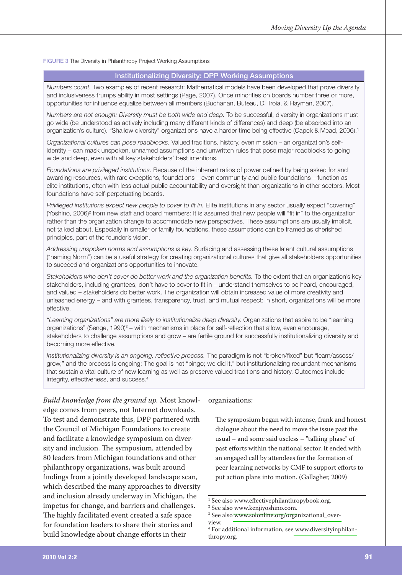FIGURE 3 The Diversity in Philanthropy Project Working Assumptions

## **Institutionalizing Diversity: DPP Working Assumptions**

Numbers count. Two examples of recent research: Mathematical models have been developed that prove diversity and inclusiveness trumps ability in most settings (Page, 2007). Once minorities on boards number three or more, opportunities for influence equalize between all members (Buchanan, Buteau, Di Troia, & Hayman, 2007).

Numbers are not enough: Diversity must be both wide and deep. To be successful, diversity in organizations must go wide (be understood as actively including many different kinds of differences) and deep (be absorbed into an organization's culture). "Shallow diversity" organizations have a harder time being effective (Capek & Mead, 2006).<sup>1</sup>

Organizational cultures can pose roadblocks. Valued traditions, history, even mission - an organization's selfidentity – can mask unspoken, unnamed assumptions and unwritten rules that pose major roadblocks to going wide and deep, even with all key stakeholders' best intentions.

Foundations are privileged institutions. Because of the inherent ratios of power defined by being asked for and awarding resources, with rare exceptions, foundations - even community and public foundations - function as elite institutions, often with less actual public accountability and oversight than organizations in other sectors. Most foundations have self-perpetuating boards.

Privileged institutions expect new people to cover to fit in. Elite institutions in any sector usually expect "covering" (Yoshino, 2006)<sup>2</sup> from new staff and board members: It is assumed that new people will "fit in" to the organization rather than the organization change to accommodate new perspectives. These assumptions are usually implicit, not talked about. Especially in smaller or family foundations, these assumptions can be framed as cherished principles, part of the founder's vision.

Addressing unspoken norms and assumptions is key. Surfacing and assessing these latent cultural assumptions ("naming Norm") can be a useful strategy for creating organizational cultures that give all stakeholders opportunities to succeed and organizations opportunities to innovate.

Stakeholders who don't cover do better work and the organization benefits. To the extent that an organization's key stakeholders, including grantees, don't have to cover to fit in – understand themselves to be heard, encouraged, and valued - stakeholders do better work. The organization will obtain increased value of more creativity and unleashed energy - and with grantees, transparency, trust, and mutual respect: in short, organizations will be more effective.

"Learning organizations" are more likely to institutionalize deep diversity. Organizations that aspire to be "learning organizations" (Senge, 1990)<sup>3</sup> – with mechanisms in place for self-reflection that allow, even encourage, stakeholders to challenge assumptions and grow - are fertile ground for successfully institutionalizing diversity and becoming more effective.

Institutionalizing diversity is an ongoing, reflective process. The paradigm is not "broken/fixed" but "learn/assess/ grow," and the process is ongoing: The goal is not "bingo; we did it," but institutionalizing redundant mechanisms that sustain a vital culture of new learning as well as preserve valued traditions and history. Outcomes include integrity, effectiveness, and success.<sup>4</sup>

Build knowledge from the ground up. Most knowledge comes from peers, not Internet downloads. To test and demonstrate this, DPP partnered with the Council of Michigan Foundations to create and facilitate a knowledge symposium on diversity and inclusion. The symposium, attended by 80 leaders from Michigan foundations and other philanthropy organizations, was built around findings from a jointly developed landscape scan, which described the many approaches to diversity and inclusion already underway in Michigan, the impetus for change, and barriers and challenges. The highly facilitated event created a safe space for foundation leaders to share their stories and build knowledge about change efforts in their

#### organizations:

The symposium began with intense, frank and honest dialogue about the need to move the issue past the usual  $-$  and some said useless  $-$  "talking phase" of past efforts within the national sector. It ended with an engaged call by attendees for the formation of peer learning networks by CMF to support efforts to put action plans into motion. (Gallagher, 2009)

<sup>&</sup>lt;sup>1</sup> See also www.effectivephilanthropybook.org.

<sup>&</sup>lt;sup>2</sup> See also www.kenjiyoshino.com.

<sup>&</sup>lt;sup>3</sup> See also www.solonline.org/organizational\_over-

view.

<sup>&</sup>lt;sup>4</sup> For additional information, see www.diversityinphilanthropy.org.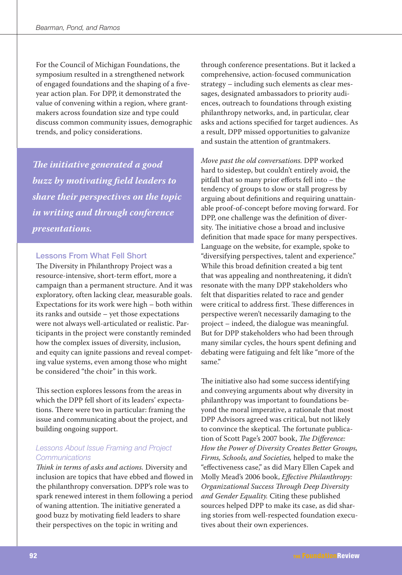For the Council of Michigan Foundations, the symposium resulted in a strengthened network of engaged foundations and the shaping of a fiveyear action plan. For DPP, it demonstrated the value of convening within a region, where grantmakers across foundation size and type could discuss common community issues, demographic trends, and policy considerations.

The initiative generated a good buzz by motivating field leaders to share their perspectives on the topic in writing and through conference *presentations.* 

## **Lessons From What Fell Short**

The Diversity in Philanthropy Project was a resource-intensive, short-term effort, more a campaign than a permanent structure. And it was exploratory, often lacking clear, measurable goals. Expectations for its work were high - both within its ranks and outside - yet those expectations were not always well-articulated or realistic. Participants in the project were constantly reminded how the complex issues of diversity, inclusion, and equity can ignite passions and reveal competing value systems, even among those who might be considered "the choir" in this work.

This section explores lessons from the areas in which the DPP fell short of its leaders' expectations. There were two in particular: framing the issue and communicating about the project, and building ongoing support.

## Lessons About Issue Framing and Project Communications

Think in terms of asks and actions. Diversity and inclusion are topics that have ebbed and flowed in the philanthropy conversation. DPP's role was to spark renewed interest in them following a period of waning attention. The initiative generated a good buzz by motivating field leaders to share their perspectives on the topic in writing and

through conference presentations. But it lacked a comprehensive, action-focused communication strategy - including such elements as clear messages, designated ambassadors to priority audiences, outreach to foundations through existing philanthropy networks, and, in particular, clear asks and actions specified for target audiences. As a result, DPP missed opportunities to galvanize and sustain the attention of grantmakers.

Move past the old conversations. DPP worked hard to sidestep, but couldn't entirely avoid, the pitfall that so many prior efforts fell into - the tendency of groups to slow or stall progress by arguing about definitions and requiring unattainable proof-of-concept before moving forward. For DPP, one challenge was the definition of diversity. The initiative chose a broad and inclusive definition that made space for many perspectives. Language on the website, for example, spoke to "diversifying perspectives, talent and experience." While this broad definition created a big tent that was appealing and nonthreatening, it didn't resonate with the many DPP stakeholders who felt that disparities related to race and gender were critical to address first. These differences in perspective weren't necessarily damaging to the project – indeed, the dialogue was meaningful. But for DPP stakeholders who had been through many similar cycles, the hours spent defining and debating were fatiguing and felt like "more of the same."

The initiative also had some success identifying and conveying arguments about why diversity in philanthropy was important to foundations beyond the moral imperative, a rationale that most DPP Advisors agreed was critical, but not likely to convince the skeptical. The fortunate publication of Scott Page's 2007 book, The Difference: How the Power of Diversity Creates Better Groups, Firms, Schools, and Societies, helped to make the "effectiveness case," as did Mary Ellen Capek and Molly Mead's 2006 book, Effective Philanthropy: Organizational Success Through Deep Diversity and Gender Equality. Citing these published sources helped DPP to make its case, as did sharing stories from well-respected foundation executives about their own experiences.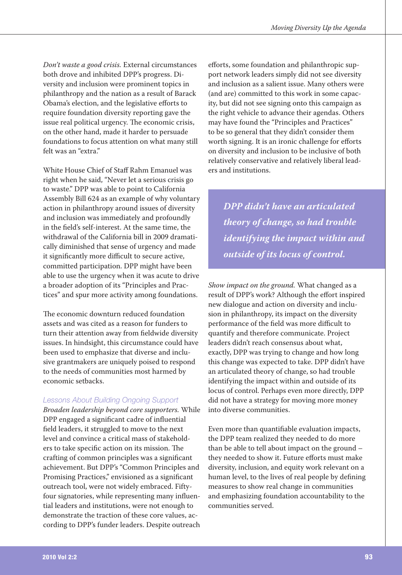Don't waste a good crisis. External circumstances both drove and inhibited DPP's progress. Diversity and inclusion were prominent topics in philanthropy and the nation as a result of Barack Obama's election, and the legislative efforts to require foundation diversity reporting gave the issue real political urgency. The economic crisis, on the other hand, made it harder to persuade foundations to focus attention on what many still felt was an "extra."

White House Chief of Staff Rahm Emanuel was right when he said, "Never let a serious crisis go to waste." DPP was able to point to California Assembly Bill 624 as an example of why voluntary action in philanthropy around issues of diversity and inclusion was immediately and profoundly in the field's self-interest. At the same time, the withdrawal of the California bill in 2009 dramatically diminished that sense of urgency and made it significantly more difficult to secure active, committed participation. DPP might have been able to use the urgency when it was acute to drive a broader adoption of its "Principles and Practices" and spur more activity among foundations.

The economic downturn reduced foundation assets and was cited as a reason for funders to turn their attention away from fieldwide diversity issues. In hindsight, this circumstance could have been used to emphasize that diverse and inclusive grantmakers are uniquely poised to respond to the needs of communities most harmed by economic setbacks.

## **Lessons About Building Ongoing Support**

Broaden leadership beyond core supporters. While DPP engaged a significant cadre of influential field leaders, it struggled to move to the next level and convince a critical mass of stakeholders to take specific action on its mission. The crafting of common principles was a significant achievement. But DPP's "Common Principles and Promising Practices," envisioned as a significant outreach tool, were not widely embraced. Fiftyfour signatories, while representing many influential leaders and institutions, were not enough to demonstrate the traction of these core values, according to DPP's funder leaders. Despite outreach

efforts, some foundation and philanthropic support network leaders simply did not see diversity and inclusion as a salient issue. Many others were (and are) committed to this work in some capacity, but did not see signing onto this campaign as the right vehicle to advance their agendas. Others may have found the "Principles and Practices" to be so general that they didn't consider them worth signing. It is an ironic challenge for efforts on diversity and inclusion to be inclusive of both relatively conservative and relatively liberal leaders and institutions.

DPP didn't have an articulated theory of change, so had trouble identifying the impact within and outside of its locus of control.

Show impact on the ground. What changed as a result of DPP's work? Although the effort inspired new dialogue and action on diversity and inclusion in philanthropy, its impact on the diversity performance of the field was more difficult to quantify and therefore communicate. Project leaders didn't reach consensus about what, exactly, DPP was trying to change and how long this change was expected to take. DPP didn't have an articulated theory of change, so had trouble identifying the impact within and outside of its locus of control. Perhaps even more directly, DPP did not have a strategy for moving more money into diverse communities.

Even more than quantifiable evaluation impacts, the DPP team realized they needed to do more than be able to tell about impact on the ground they needed to show it. Future efforts must make diversity, inclusion, and equity work relevant on a human level, to the lives of real people by defining measures to show real change in communities and emphasizing foundation accountability to the communities served.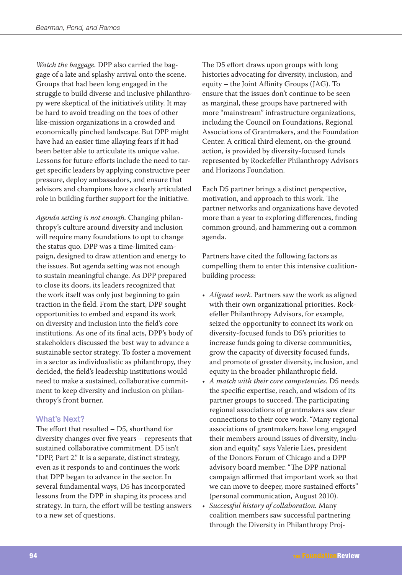Watch the baggage. DPP also carried the baggage of a late and splashy arrival onto the scene. Groups that had been long engaged in the struggle to build diverse and inclusive philanthropy were skeptical of the initiative's utility. It may be hard to avoid treading on the toes of other like-mission organizations in a crowded and economically pinched landscape. But DPP might have had an easier time allaying fears if it had been better able to articulate its unique value. Lessons for future efforts include the need to target specific leaders by applying constructive peer pressure, deploy ambassadors, and ensure that advisors and champions have a clearly articulated role in building further support for the initiative.

Agenda setting is not enough. Changing philanthropy's culture around diversity and inclusion will require many foundations to opt to change the status quo. DPP was a time-limited campaign, designed to draw attention and energy to the issues. But agenda setting was not enough to sustain meaningful change. As DPP prepared to close its doors, its leaders recognized that the work itself was only just beginning to gain traction in the field. From the start, DPP sought opportunities to embed and expand its work on diversity and inclusion into the field's core institutions. As one of its final acts, DPP's body of stakeholders discussed the best way to advance a sustainable sector strategy. To foster a movement in a sector as individualistic as philanthropy, they decided, the field's leadership institutions would need to make a sustained, collaborative commitment to keep diversity and inclusion on philanthropy's front burner.

## **What's Next?**

The effort that resulted - D5, shorthand for diversity changes over five years – represents that sustained collaborative commitment. D5 isn't "DPP, Part 2." It is a separate, distinct strategy, even as it responds to and continues the work that DPP began to advance in the sector. In several fundamental ways, D5 has incorporated lessons from the DPP in shaping its process and strategy. In turn, the effort will be testing answers to a new set of questions.

The D5 effort draws upon groups with long histories advocating for diversity, inclusion, and equity - the Joint Affinity Groups (JAG). To ensure that the issues don't continue to be seen as marginal, these groups have partnered with more "mainstream" infrastructure organizations, including the Council on Foundations, Regional Associations of Grantmakers, and the Foundation Center. A critical third element, on-the-ground action, is provided by diversity-focused funds represented by Rockefeller Philanthropy Advisors and Horizons Foundation.

Each D5 partner brings a distinct perspective, motivation, and approach to this work. The partner networks and organizations have devoted more than a year to exploring differences, finding common ground, and hammering out a common agenda.

Partners have cited the following factors as compelling them to enter this intensive coalitionbuilding process:

- Aligned work. Partners saw the work as aligned with their own organizational priorities. Rockefeller Philanthropy Advisors, for example, seized the opportunity to connect its work on diversity-focused funds to D5's priorities to increase funds going to diverse communities, grow the capacity of diversity focused funds, and promote of greater diversity, inclusion, and equity in the broader philanthropic field.
- A match with their core competencies. D5 needs the specific expertise, reach, and wisdom of its partner groups to succeed. The participating regional associations of grantmakers saw clear connections to their core work. "Many regional associations of grantmakers have long engaged their members around issues of diversity, inclusion and equity," says Valerie Lies, president of the Donors Forum of Chicago and a DPP advisory board member. "The DPP national campaign affirmed that important work so that we can move to deeper, more sustained efforts" (personal communication, August 2010).
- Successful history of collaboration. Many coalition members saw successful partnering through the Diversity in Philanthropy Proj-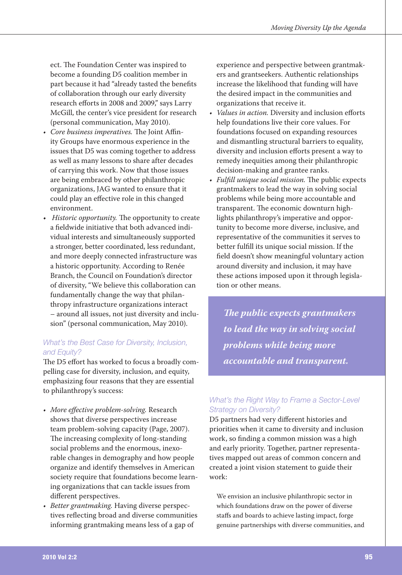ect. The Foundation Center was inspired to become a founding D5 coalition member in part because it had "already tasted the benefits of collaboration through our early diversity research efforts in 2008 and 2009," says Larry McGill, the center's vice president for research (personal communication, May 2010).

- Core business imperatives. The Joint Affinity Groups have enormous experience in the issues that D5 was coming together to address as well as many lessons to share after decades of carrying this work. Now that those issues are being embraced by other philanthropic organizations, JAG wanted to ensure that it could play an effective role in this changed environment.
- *Historic opportunity.* The opportunity to create a fieldwide initiative that both advanced individual interests and simultaneously supported a stronger, better coordinated, less redundant, and more deeply connected infrastructure was a historic opportunity. According to Renée Branch, the Council on Foundation's director of diversity, "We believe this collaboration can fundamentally change the way that philanthropy infrastructure organizations interact - around all issues, not just diversity and inclusion" (personal communication, May 2010).

## What's the Best Case for Diversity, Inclusion, and Equity?

The D5 effort has worked to focus a broadly compelling case for diversity, inclusion, and equity, emphasizing four reasons that they are essential to philanthropy's success:

- More effective problem-solving. Research shows that diverse perspectives increase team problem-solving capacity (Page, 2007). The increasing complexity of long-standing social problems and the enormous, inexorable changes in demography and how people organize and identify themselves in American society require that foundations become learning organizations that can tackle issues from different perspectives.
- Better grantmaking. Having diverse perspectives reflecting broad and diverse communities informing grantmaking means less of a gap of

experience and perspective between grantmakers and grantseekers. Authentic relationships increase the likelihood that funding will have the desired impact in the communities and organizations that receive it.

- Values in action. Diversity and inclusion efforts  $\bullet$ help foundations live their core values. For foundations focused on expanding resources and dismantling structural barriers to equality, diversity and inclusion efforts present a way to remedy inequities among their philanthropic decision-making and grantee ranks.
- Fulfill unique social mission. The public expects grantmakers to lead the way in solving social problems while being more accountable and transparent. The economic downturn highlights philanthropy's imperative and opportunity to become more diverse, inclusive, and representative of the communities it serves to better fulfill its unique social mission. If the field doesn't show meaningful voluntary action around diversity and inclusion, it may have these actions imposed upon it through legislation or other means

The public expects grantmakers to lead the way in solving social problems while being more accountable and transparent.

## What's the Right Way to Frame a Sector-Level **Strategy on Diversity?**

D5 partners had very different histories and priorities when it came to diversity and inclusion work, so finding a common mission was a high and early priority. Together, partner representatives mapped out areas of common concern and created a joint vision statement to guide their work:

We envision an inclusive philanthropic sector in which foundations draw on the power of diverse staffs and boards to achieve lasting impact, forge genuine partnerships with diverse communities, and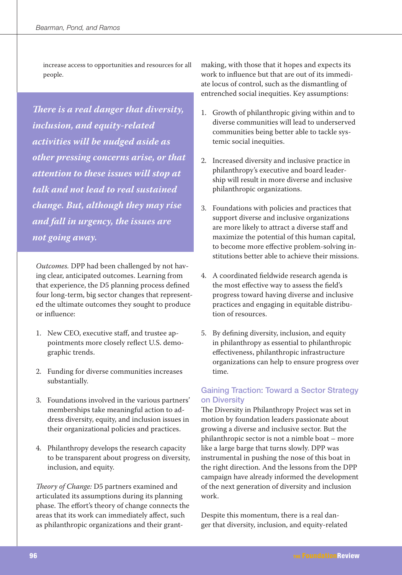increase access to opportunities and resources for all people.

There is a real danger that diversity, inclusion, and equity-related activities will be nudged aside as other pressing concerns arise, or that attention to these issues will stop at talk and not lead to real sustained change. But, although they may rise and fall in urgency, the issues are not going away.

Outcomes. DPP had been challenged by not having clear, anticipated outcomes. Learning from that experience, the D5 planning process defined four long-term, big sector changes that represented the ultimate outcomes they sought to produce or influence:

- 1. New CEO, executive staff, and trustee appointments more closely reflect U.S. demographic trends.
- 2. Funding for diverse communities increases substantially.
- 3. Foundations involved in the various partners' memberships take meaningful action to address diversity, equity, and inclusion issues in their organizational policies and practices.
- 4. Philanthropy develops the research capacity to be transparent about progress on diversity, inclusion, and equity.

Theory of Change: D5 partners examined and articulated its assumptions during its planning phase. The effort's theory of change connects the areas that its work can immediately affect, such as philanthropic organizations and their grant-

making, with those that it hopes and expects its work to influence but that are out of its immediate locus of control, such as the dismantling of entrenched social inequities. Key assumptions:

- 1. Growth of philanthropic giving within and to diverse communities will lead to underserved communities being better able to tackle systemic social inequities.
- 2. Increased diversity and inclusive practice in philanthropy's executive and board leadership will result in more diverse and inclusive philanthropic organizations.
- 3. Foundations with policies and practices that support diverse and inclusive organizations are more likely to attract a diverse staff and maximize the potential of this human capital, to become more effective problem-solving institutions better able to achieve their missions.
- 4. A coordinated fieldwide research agenda is the most effective way to assess the field's progress toward having diverse and inclusive practices and engaging in equitable distribution of resources.
- 5. By defining diversity, inclusion, and equity in philanthropy as essential to philanthropic effectiveness, philanthropic infrastructure organizations can help to ensure progress over time.

## **Gaining Traction: Toward a Sector Strategy** on Diversity

The Diversity in Philanthropy Project was set in motion by foundation leaders passionate about growing a diverse and inclusive sector. But the philanthropic sector is not a nimble boat - more like a large barge that turns slowly. DPP was instrumental in pushing the nose of this boat in the right direction. And the lessons from the DPP campaign have already informed the development of the next generation of diversity and inclusion work.

Despite this momentum, there is a real danger that diversity, inclusion, and equity-related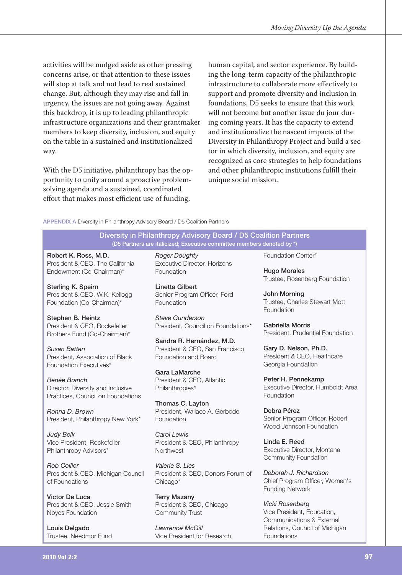activities will be nudged aside as other pressing concerns arise, or that attention to these issues will stop at talk and not lead to real sustained change. But, although they may rise and fall in urgency, the issues are not going away. Against this backdrop, it is up to leading philanthropic infrastructure organizations and their grantmaker members to keep diversity, inclusion, and equity on the table in a sustained and institutionalized way.

With the D5 initiative, philanthropy has the opportunity to unify around a proactive problemsolving agenda and a sustained, coordinated effort that makes most efficient use of funding,

human capital, and sector experience. By building the long-term capacity of the philanthropic infrastructure to collaborate more effectively to support and promote diversity and inclusion in foundations, D5 seeks to ensure that this work will not become but another issue du jour during coming years. It has the capacity to extend and institutionalize the nascent impacts of the Diversity in Philanthropy Project and build a sector in which diversity, inclusion, and equity are recognized as core strategies to help foundations and other philanthropic institutions fulfill their unique social mission.

#### APPENDIX A Diversity in Philanthropy Advisory Board / D5 Coalition Partners

Diversity in Philanthropy Advisory Board / D5 Coalition Partners (D5 Partners are italicized; Executive committee members denoted by \*)

Robert K. Ross, M.D. President & CEO, The California Endowment (Co-Chairman)\*

Sterling K. Speirn President & CEO, W.K. Kellogg Foundation (Co-Chairman)\*

Stephen B. Heintz President & CEO, Rockefeller Brothers Fund (Co-Chairman)\*

Susan Batten President. Association of Black Foundation Executives\*

Renée Branch Director. Diversity and Inclusive Practices. Council on Foundations

Ronna D. Brown President, Philanthropy New York\*

**Judy Belk** Vice President, Rockefeller Philanthropy Advisors\*

**Rob Collier** President & CEO, Michigan Council of Foundations

Victor De Luca President & CEO, Jessie Smith Noves Foundation

Louis Delgado Trustee, Needmor Fund **Roger Doughty** Executive Director, Horizons **Foundation** 

Linetta Gilbert Senior Program Officer, Ford Foundation

Steve Gunderson President. Council on Foundations\*

Sandra R. Hernández, M.D. President & CEO, San Francisco Foundation and Board

Gara LaMarche President & CEO, Atlantic Philanthropies\*

Thomas C. Lavton President, Wallace A. Gerbode Foundation

Carol Lewis President & CEO, Philanthropy Northwest

Valerie S. Lies President & CEO, Donors Forum of Chicago\*

**Terry Mazany** President & CEO, Chicago Community Trust

Lawrence McGill Vice President for Research, Foundation Center\*

**Hugo Morales** Trustee, Rosenberg Foundation

**John Morning** Trustee, Charles Stewart Mott Foundation

Gabriella Morris President, Prudential Foundation

Gary D. Nelson, Ph.D. President & CEO, Healthcare Georgia Foundation

Peter H. Pennekamp Executive Director, Humboldt Area Foundation

Debra Pérez Senior Program Officer, Robert Wood Johnson Foundation

Linda E. Reed Executive Director, Montana Community Foundation

Deborah J. Richardson Chief Program Officer, Women's **Funding Network** 

Vicki Rosenberg Vice President, Education, Communications & External Relations, Council of Michigan Foundations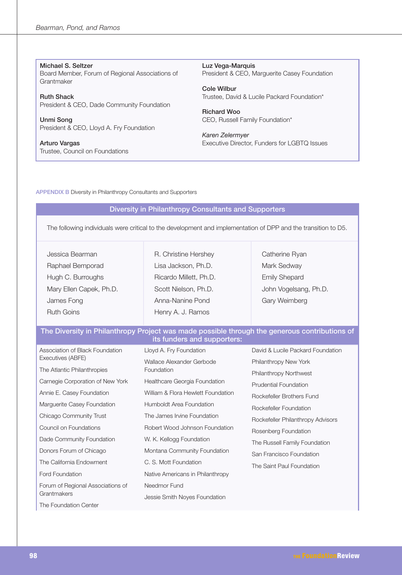Michael S. Seltzer Board Member, Forum of Regional Associations of Grantmaker

**Ruth Shack** President & CEO, Dade Community Foundation

Unmi Song President & CEO, Lloyd A. Fry Foundation

Arturo Vargas Trustee, Council on Foundations Luz Vega-Marquis President & CEO, Marquerite Casey Foundation

**Cole Wilbur** Trustee, David & Lucile Packard Foundation\*

**Richard Woo** CEO, Russell Family Foundation\*

Karen Zelermyer Executive Director, Funders for LGBTQ Issues

**APPENDIX B Diversity in Philanthropy Consultants and Supporters** 

### Diversity in Philanthropy Consultants and Supporters

The following individuals were critical to the development and implementation of DPP and the transition to D5.

| Jessica Bearman         | R. Christine Hershey   | Catherine Ryan        |
|-------------------------|------------------------|-----------------------|
| Raphael Bemporad        | Lisa Jackson, Ph.D.    | Mark Sedway           |
| Hugh C. Burroughs       | Ricardo Millett, Ph.D. | <b>Emily Shepard</b>  |
| Mary Ellen Capek, Ph.D. | Scott Nielson, Ph.D.   | John Vogelsang, Ph.D. |
| James Fong              | Anna-Nanine Pond       | Gary Weimberg         |
| <b>Ruth Goins</b>       | Henry A. J. Ramos      |                       |
|                         |                        |                       |

#### The Diversity in Philanthropy Project was made possible through the generous contributions of its funders and supporters:

| Association of Black Foundation<br>Executives (ABFE) | Lloyd A. Fry Foundation            | David & Lucile Packard Foundation |
|------------------------------------------------------|------------------------------------|-----------------------------------|
|                                                      | Wallace Alexander Gerbode          | Philanthropy New York             |
| The Atlantic Philanthropies                          | Foundation                         | Philanthropy Northwest            |
| Carnegie Corporation of New York                     | Healthcare Georgia Foundation      | <b>Prudential Foundation</b>      |
| Annie E. Casey Foundation                            | William & Flora Hewlett Foundation | Rockefeller Brothers Fund         |
| Marquerite Casey Foundation                          | Humboldt Area Foundation           | Rockefeller Foundation            |
| Chicago Community Trust                              | The James Irvine Foundation        | Rockefeller Philanthropy Advisors |
| Council on Foundations                               | Robert Wood Johnson Foundation     | Rosenberg Foundation              |
| Dade Community Foundation                            | W. K. Kellogg Foundation           | The Russell Family Foundation     |
| Donors Forum of Chicago                              | Montana Community Foundation       | San Francisco Foundation          |
| The California Endowment                             | C. S. Mott Foundation              | The Saint Paul Foundation         |
| Ford Foundation                                      | Native Americans in Philanthropy   |                                   |
| Forum of Regional Associations of<br>Grantmakers     | Needmor Fund                       |                                   |
|                                                      | Jessie Smith Noyes Foundation      |                                   |
| The Foundation Center                                |                                    |                                   |